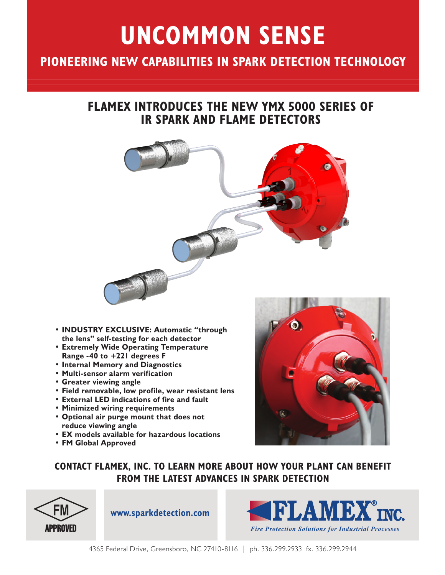# **UNCOMMON SENSE**

### **PIONEERING NEW CAPABILITIES IN SPARK DETECTION TECHNOLOGY**

#### **FLAMEX INTRODUCES THE NEW YMX 5000 SERIES OF IR SPARK AND FLAME DETECTORS**



- **INDUSTRY EXCLUSIVE: Automatic "through the lens" self-testing for each detector**
- **Extremely Wide Operating Temperature Range -40 to +221 degrees F**
- **Internal Memory and Diagnostics**
- **Multi-sensor alarm verification**
- **Greater viewing angle**
- **Field removable, low profile, wear resistant lens**
- **External LED indications of fire and fault**
- **Minimized wiring requirements**
- **Optional air purge mount that does not reduce viewing angle**
- **EX models available for hazardous locations**
- **FM Global Approved**



**CONTACT FLAMEX, INC. TO LEARN MORE ABOUT HOW YOUR PLANT CAN BENEFIT FROM THE LATEST ADVANCES IN SPARK DETECTION**



**www.sparkdetection.com**